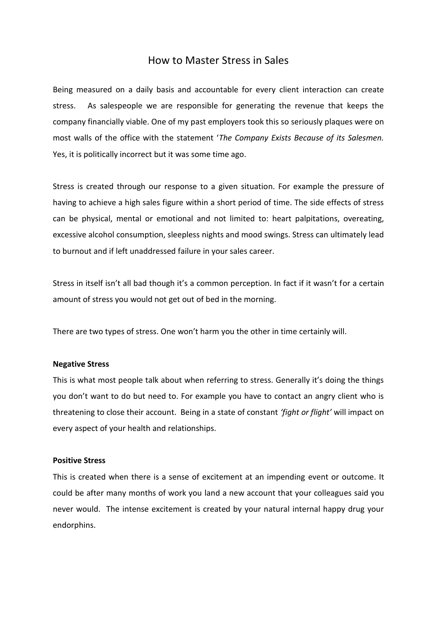## How to Master Stress in Sales

Being measured on a daily basis and accountable for every client interaction can create stress. As salespeople we are responsible for generating the revenue that keeps the company financially viable. One of my past employers took this so seriously plaques were on most walls of the office with the statement '*The Company Exists Because of its Salesmen.* Yes, it is politically incorrect but it was some time ago.

Stress is created through our response to a given situation. For example the pressure of having to achieve a high sales figure within a short period of time. The side effects of stress can be physical, mental or emotional and not limited to: heart palpitations, overeating, excessive alcohol consumption, sleepless nights and mood swings. Stress can ultimately lead to burnout and if left unaddressed failure in your sales career.

Stress in itself isn't all bad though it's a common perception. In fact if it wasn't for a certain amount of stress you would not get out of bed in the morning.

There are two types of stress. One won't harm you the other in time certainly will.

## **Negative Stress**

This is what most people talk about when referring to stress. Generally it's doing the things you don't want to do but need to. For example you have to contact an angry client who is threatening to close their account. Being in a state of constant *'fight or flight'* will impact on every aspect of your health and relationships.

## **Positive Stress**

This is created when there is a sense of excitement at an impending event or outcome. It could be after many months of work you land a new account that your colleagues said you never would. The intense excitement is created by your natural internal happy drug your endorphins.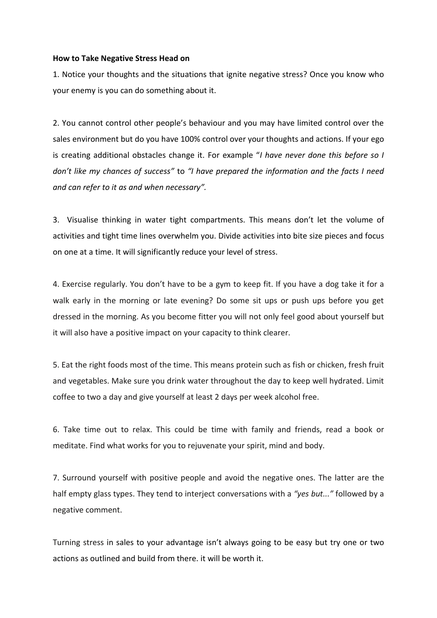## **How to Take Negative Stress Head on**

1. Notice your thoughts and the situations that ignite negative stress? Once you know who your enemy is you can do something about it.

2. You cannot control other people's behaviour and you may have limited control over the sales environment but do you have 100% control over your thoughts and actions. If your ego is creating additional obstacles change it. For example "*I have never done this before so I don't like my chances of success"* to *"I have prepared the information and the facts I need and can refer to it as and when necessary".*

3. Visualise thinking in water tight compartments. This means don't let the volume of activities and tight time lines overwhelm you. Divide activities into bite size pieces and focus on one at a time. It will significantly reduce your level of stress.

4. Exercise regularly. You don't have to be a gym to keep fit. If you have a dog take it for a walk early in the morning or late evening? Do some sit ups or push ups before you get dressed in the morning. As you become fitter you will not only feel good about yourself but it will also have a positive impact on your capacity to think clearer.

5. Eat the right foods most of the time. This means protein such as fish or chicken, fresh fruit and vegetables. Make sure you drink water throughout the day to keep well hydrated. Limit coffee to two a day and give yourself at least 2 days per week alcohol free.

6. Take time out to relax. This could be time with family and friends, read a book or meditate. Find what works for you to rejuvenate your spirit, mind and body.

7. Surround yourself with positive people and avoid the negative ones. The latter are the half empty glass types. They tend to interject conversations with a *"yes but..."* followed by a negative comment.

Turning stress in sales to your advantage isn't always going to be easy but try one or two actions as outlined and build from there. it will be worth it.